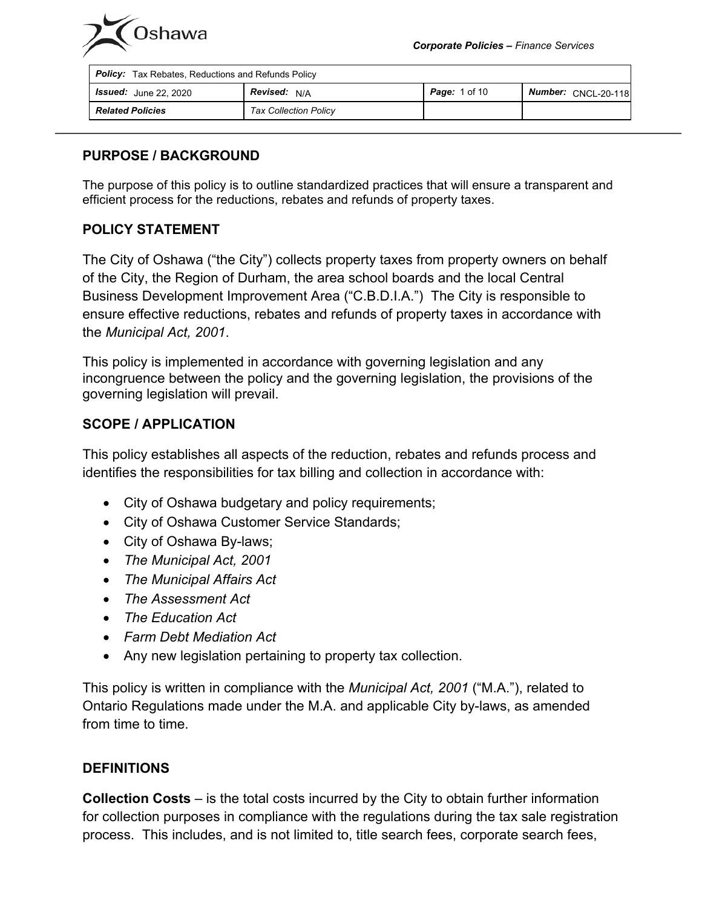

| <b>Policy:</b> Tax Rebates, Reductions and Refunds Policy |                              |                      |                            |
|-----------------------------------------------------------|------------------------------|----------------------|----------------------------|
| <b>Issued:</b> June 22, 2020                              | <b>Revised:</b> N/A          | <b>Page:</b> 1 of 10 | <b>Number: CNCL-20-118</b> |
| <b>Related Policies</b>                                   | <b>Tax Collection Policy</b> |                      |                            |

#### **PURPOSE / BACKGROUND**

The purpose of this policy is to outline standardized practices that will ensure a transparent and efficient process for the reductions, rebates and refunds of property taxes.

### **POLICY STATEMENT**

The City of Oshawa ("the City") collects property taxes from property owners on behalf of the City, the Region of Durham, the area school boards and the local Central Business Development Improvement Area ("C.B.D.I.A.") The City is responsible to ensure effective reductions, rebates and refunds of property taxes in accordance with the *Municipal Act, 2001*.

This policy is implemented in accordance with governing legislation and any incongruence between the policy and the governing legislation, the provisions of the governing legislation will prevail.

#### **SCOPE / APPLICATION**

This policy establishes all aspects of the reduction, rebates and refunds process and identifies the responsibilities for tax billing and collection in accordance with:

- City of Oshawa budgetary and policy requirements;
- City of Oshawa Customer Service Standards;
- City of Oshawa By-laws;
- *The Municipal Act, 2001*
- *The Municipal Affairs Act*
- *The Assessment Act*
- *The Education Act*
- *Farm Debt Mediation Act*
- Any new legislation pertaining to property tax collection.

This policy is written in compliance with the *Municipal Act, 2001* ("M.A."), related to Ontario Regulations made under the M.A. and applicable City by-laws, as amended from time to time.

#### **DEFINITIONS**

**Collection Costs** – is the total costs incurred by the City to obtain further information for collection purposes in compliance with the regulations during the tax sale registration process. This includes, and is not limited to, title search fees, corporate search fees,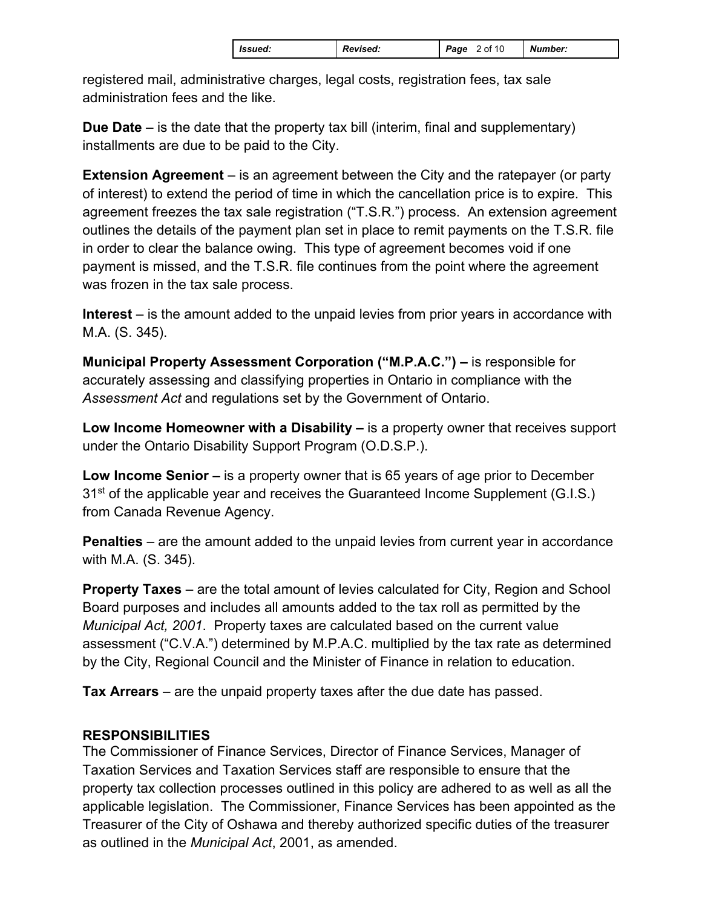| <b>S</b> sued:<br><b>Revised:</b> | Page<br>2 of 10 | Number: |
|-----------------------------------|-----------------|---------|
|-----------------------------------|-----------------|---------|

registered mail, administrative charges, legal costs, registration fees, tax sale administration fees and the like.

**Due Date** – is the date that the property tax bill (interim, final and supplementary) installments are due to be paid to the City.

**Extension Agreement** – is an agreement between the City and the ratepayer (or party of interest) to extend the period of time in which the cancellation price is to expire. This agreement freezes the tax sale registration ("T.S.R.") process. An extension agreement outlines the details of the payment plan set in place to remit payments on the T.S.R. file in order to clear the balance owing. This type of agreement becomes void if one payment is missed, and the T.S.R. file continues from the point where the agreement was frozen in the tax sale process.

**Interest** – is the amount added to the unpaid levies from prior years in accordance with M.A. (S. 345).

**Municipal Property Assessment Corporation ("M.P.A.C.") –** is responsible for accurately assessing and classifying properties in Ontario in compliance with the *Assessment Act* and regulations set by the Government of Ontario.

**Low Income Homeowner with a Disability –** is a property owner that receives support under the Ontario Disability Support Program (O.D.S.P.).

**Low Income Senior –** is a property owner that is 65 years of age prior to December 31<sup>st</sup> of the applicable year and receives the Guaranteed Income Supplement (G.I.S.) from Canada Revenue Agency.

**Penalties** – are the amount added to the unpaid levies from current year in accordance with M.A. (S. 345).

**Property Taxes** – are the total amount of levies calculated for City, Region and School Board purposes and includes all amounts added to the tax roll as permitted by the *Municipal Act, 2001*. Property taxes are calculated based on the current value assessment ("C.V.A.") determined by M.P.A.C. multiplied by the tax rate as determined by the City, Regional Council and the Minister of Finance in relation to education.

**Tax Arrears** – are the unpaid property taxes after the due date has passed.

## **RESPONSIBILITIES**

The Commissioner of Finance Services, Director of Finance Services, Manager of Taxation Services and Taxation Services staff are responsible to ensure that the property tax collection processes outlined in this policy are adhered to as well as all the applicable legislation. The Commissioner, Finance Services has been appointed as the Treasurer of the City of Oshawa and thereby authorized specific duties of the treasurer as outlined in the *Municipal Act*, 2001, as amended.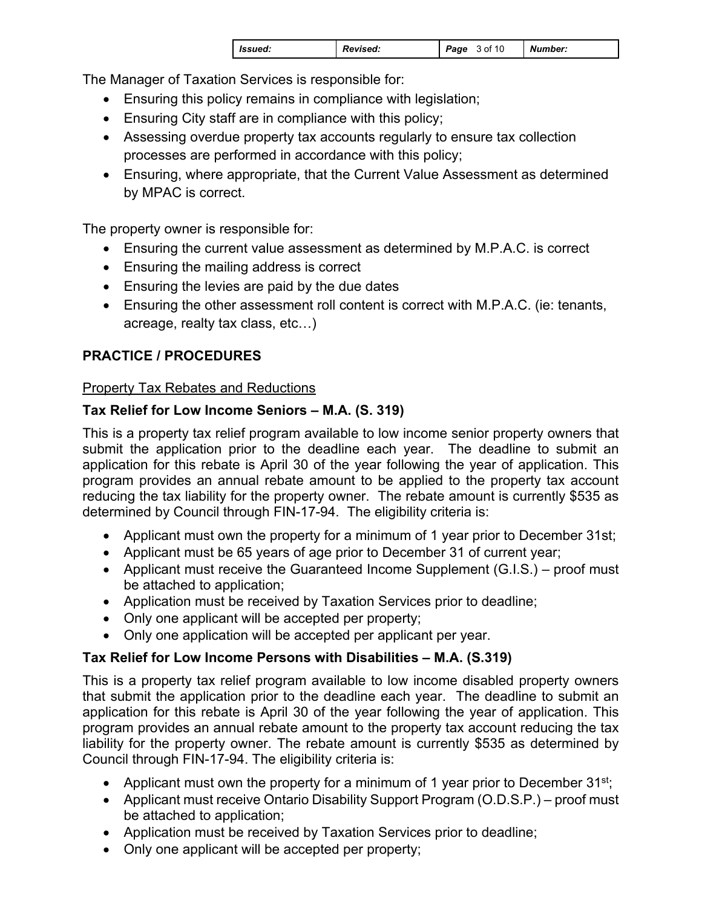| Revised:<br>l Issued: | Page<br>3 of 10 | Number: |
|-----------------------|-----------------|---------|
|-----------------------|-----------------|---------|

The Manager of Taxation Services is responsible for:

- Ensuring this policy remains in compliance with legislation;
- Ensuring City staff are in compliance with this policy;
- Assessing overdue property tax accounts regularly to ensure tax collection processes are performed in accordance with this policy;
- Ensuring, where appropriate, that the Current Value Assessment as determined by MPAC is correct.

The property owner is responsible for:

- Ensuring the current value assessment as determined by M.P.A.C. is correct
- Ensuring the mailing address is correct
- Ensuring the levies are paid by the due dates
- Ensuring the other assessment roll content is correct with M.P.A.C. (ie: tenants, acreage, realty tax class, etc…)

# **PRACTICE / PROCEDURES**

## Property Tax Rebates and Reductions

## **Tax Relief for Low Income Seniors – M.A. (S. 319)**

This is a property tax relief program available to low income senior property owners that submit the application prior to the deadline each year. The deadline to submit an application for this rebate is April 30 of the year following the year of application. This program provides an annual rebate amount to be applied to the property tax account reducing the tax liability for the property owner. The rebate amount is currently \$535 as determined by Council through FIN-17-94. The eligibility criteria is:

- Applicant must own the property for a minimum of 1 year prior to December 31st;
- Applicant must be 65 years of age prior to December 31 of current year;
- Applicant must receive the Guaranteed Income Supplement (G.I.S.) proof must be attached to application;
- Application must be received by Taxation Services prior to deadline;
- Only one applicant will be accepted per property;
- Only one application will be accepted per applicant per year.

## **Tax Relief for Low Income Persons with Disabilities – M.A. (S.319)**

This is a property tax relief program available to low income disabled property owners that submit the application prior to the deadline each year. The deadline to submit an application for this rebate is April 30 of the year following the year of application. This program provides an annual rebate amount to the property tax account reducing the tax liability for the property owner. The rebate amount is currently \$535 as determined by Council through FIN-17-94. The eligibility criteria is:

- Applicant must own the property for a minimum of 1 year prior to December  $31^{st}$ ;
- Applicant must receive Ontario Disability Support Program (O.D.S.P.) proof must be attached to application;
- Application must be received by Taxation Services prior to deadline;
- Only one applicant will be accepted per property;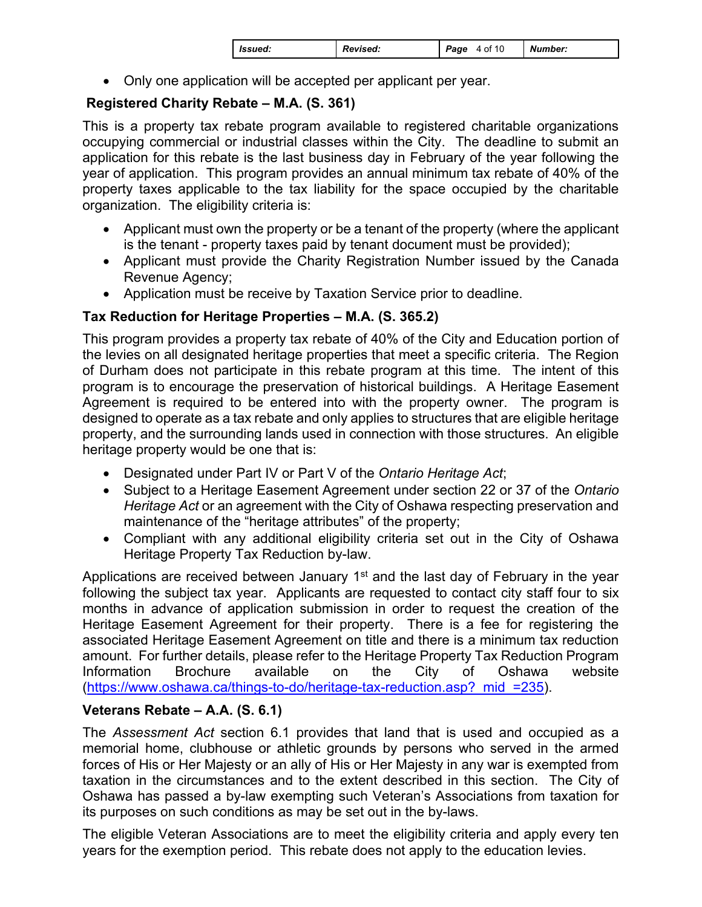| <i>Issued:</i> | <b>Revised:</b> | 4 of 10<br>Page | Number: |
|----------------|-----------------|-----------------|---------|
|----------------|-----------------|-----------------|---------|

Only one application will be accepted per applicant per year.

# **Registered Charity Rebate – M.A. (S. 361)**

This is a property tax rebate program available to registered charitable organizations occupying commercial or industrial classes within the City. The deadline to submit an application for this rebate is the last business day in February of the year following the year of application. This program provides an annual minimum tax rebate of 40% of the property taxes applicable to the tax liability for the space occupied by the charitable organization. The eligibility criteria is:

- Applicant must own the property or be a tenant of the property (where the applicant is the tenant - property taxes paid by tenant document must be provided);
- Applicant must provide the Charity Registration Number issued by the Canada Revenue Agency;
- Application must be receive by Taxation Service prior to deadline.

# **Tax Reduction for Heritage Properties – M.A. (S. 365.2)**

This program provides a property tax rebate of 40% of the City and Education portion of the levies on all designated heritage properties that meet a specific criteria. The Region of Durham does not participate in this rebate program at this time. The intent of this program is to encourage the preservation of historical buildings. A Heritage Easement Agreement is required to be entered into with the property owner. The program is designed to operate as a tax rebate and only applies to structures that are eligible heritage property, and the surrounding lands used in connection with those structures. An eligible heritage property would be one that is:

- Designated under Part IV or Part V of the *Ontario Heritage Act*;
- Subject to a Heritage Easement Agreement under section 22 or 37 of the *Ontario Heritage Act* or an agreement with the City of Oshawa respecting preservation and maintenance of the "heritage attributes" of the property;
- Compliant with any additional eligibility criteria set out in the City of Oshawa Heritage Property Tax Reduction by-law.

Applications are received between January  $1<sup>st</sup>$  and the last day of February in the year following the subject tax year. Applicants are requested to contact city staff four to six months in advance of application submission in order to request the creation of the Heritage Easement Agreement for their property. There is a fee for registering the associated Heritage Easement Agreement on title and there is a minimum tax reduction amount. For further details, please refer to the Heritage Property Tax Reduction Program Information Brochure available on the City of Oshawa website (https://www.oshawa.ca/things-to-do/heritage-tax-reduction.asp? mid =235).

# **Veterans Rebate – A.A. (S. 6.1)**

The *Assessment Act* section 6.1 provides that land that is used and occupied as a memorial home, clubhouse or athletic grounds by persons who served in the armed forces of His or Her Majesty or an ally of His or Her Majesty in any war is exempted from taxation in the circumstances and to the extent described in this section. The City of Oshawa has passed a by-law exempting such Veteran's Associations from taxation for its purposes on such conditions as may be set out in the by-laws.

The eligible Veteran Associations are to meet the eligibility criteria and apply every ten years for the exemption period. This rebate does not apply to the education levies.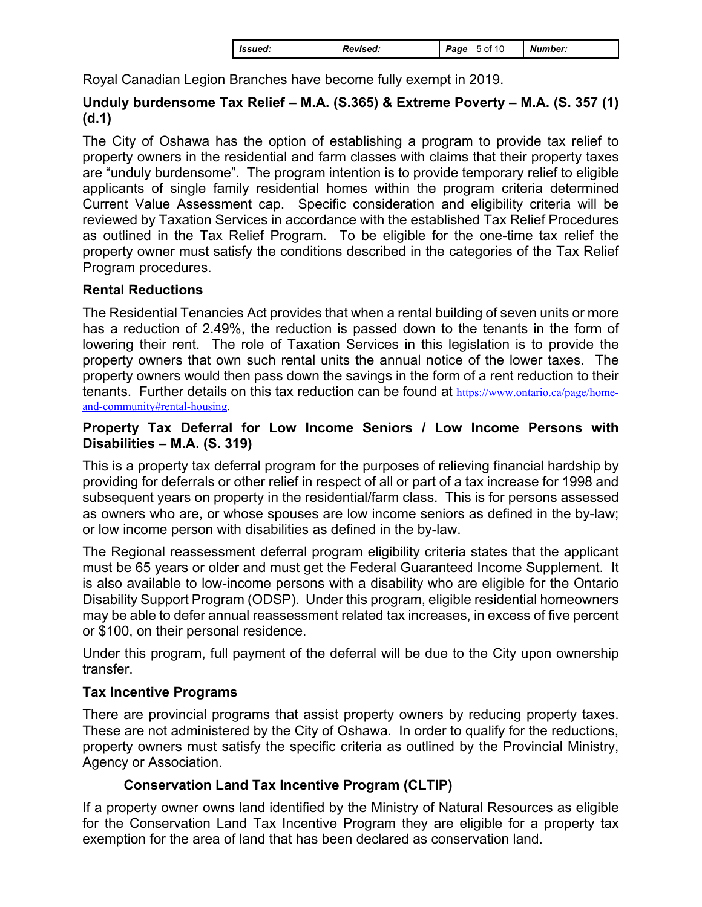Royal Canadian Legion Branches have become fully exempt in 2019.

## **Unduly burdensome Tax Relief – M.A. (S.365) & Extreme Poverty – M.A. (S. 357 (1) (d.1)**

The City of Oshawa has the option of establishing a program to provide tax relief to property owners in the residential and farm classes with claims that their property taxes are "unduly burdensome". The program intention is to provide temporary relief to eligible applicants of single family residential homes within the program criteria determined Current Value Assessment cap. Specific consideration and eligibility criteria will be reviewed by Taxation Services in accordance with the established Tax Relief Procedures as outlined in the Tax Relief Program. To be eligible for the one-time tax relief the property owner must satisfy the conditions described in the categories of the Tax Relief Program procedures.

## **Rental Reductions**

The Residential Tenancies Act provides that when a rental building of seven units or more has a reduction of 2.49%, the reduction is passed down to the tenants in the form of lowering their rent. The role of Taxation Services in this legislation is to provide the property owners that own such rental units the annual notice of the lower taxes. The property owners would then pass down the savings in the form of a rent reduction to their tenants. Further details on this tax reduction can be found at https://www.ontario.ca/page/home[and-community#rental-housing.](https://www.ontario.ca/page/home-and-community#rental-housing)

### **Property Tax Deferral for Low Income Seniors / Low Income Persons with Disabilities – M.A. (S. 319)**

This is a property tax deferral program for the purposes of relieving financial hardship by providing for deferrals or other relief in respect of all or part of a tax increase for 1998 and subsequent years on property in the residential/farm class. This is for persons assessed as owners who are, or whose spouses are low income seniors as defined in the by-law; or low income person with disabilities as defined in the by-law.

The Regional reassessment deferral program eligibility criteria states that the applicant must be 65 years or older and must get the Federal Guaranteed Income Supplement. It is also available to low-income persons with a disability who are eligible for the Ontario Disability Support Program (ODSP). Under this program, eligible residential homeowners may be able to defer annual reassessment related tax increases, in excess of five percent or \$100, on their personal residence.

Under this program, full payment of the deferral will be due to the City upon ownership transfer.

## **Tax Incentive Programs**

There are provincial programs that assist property owners by reducing property taxes. These are not administered by the City of Oshawa. In order to qualify for the reductions, property owners must satisfy the specific criteria as outlined by the Provincial Ministry, Agency or Association.

# **Conservation Land Tax Incentive Program (CLTIP)**

If a property owner owns land identified by the Ministry of Natural Resources as eligible for the Conservation Land Tax Incentive Program they are eligible for a property tax exemption for the area of land that has been declared as conservation land.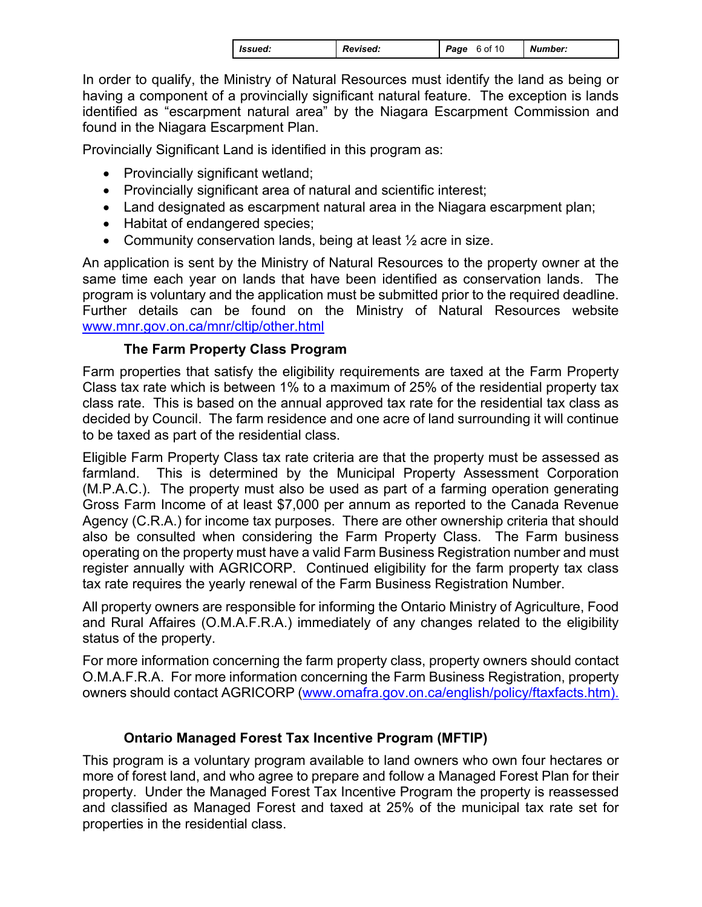|  | <i>Issued:</i> | <b>Revised:</b> | Page | 6 of 10 | Number: |
|--|----------------|-----------------|------|---------|---------|
|--|----------------|-----------------|------|---------|---------|

In order to qualify, the Ministry of Natural Resources must identify the land as being or having a component of a provincially significant natural feature. The exception is lands identified as "escarpment natural area" by the Niagara Escarpment Commission and found in the Niagara Escarpment Plan.

Provincially Significant Land is identified in this program as:

- Provincially significant wetland;
- Provincially significant area of natural and scientific interest;
- Land designated as escarpment natural area in the Niagara escarpment plan;
- Habitat of endangered species;
- Community conservation lands, being at least  $\frac{1}{2}$  acre in size.

program is voluntary and the application must be submitted prior to the required deadline. www.mnr.gov.on.ca/mnr/cltip/other.html An application is sent by the Ministry of Natural Resources to the property owner at the same time each year on lands that have been identified as conservation lands. The Further details can be found on the Ministry of Natural Resources website

## **The Farm Property Class Program**

Farm properties that satisfy the eligibility requirements are taxed at the Farm Property Class tax rate which is between 1% to a maximum of 25% of the residential property tax class rate. This is based on the annual approved tax rate for the residential tax class as decided by Council. The farm residence and one acre of land surrounding it will continue to be taxed as part of the residential class.

Eligible Farm Property Class tax rate criteria are that the property must be assessed as farmland. This is determined by the Municipal Property Assessment Corporation (M.P.A.C.). The property must also be used as part of a farming operation generating Gross Farm Income of at least \$7,000 per annum as reported to the Canada Revenue Agency (C.R.A.) for income tax purposes. There are other ownership criteria that should also be consulted when considering the Farm Property Class. The Farm business operating on the property must have a valid Farm Business Registration number and must register annually with AGRICORP. Continued eligibility for the farm property tax class tax rate requires the yearly renewal of the Farm Business Registration Number.

All property owners are responsible for informing the Ontario Ministry of Agriculture, Food and Rural Affaires (O.M.A.F.R.A.) immediately of any changes related to the eligibility status of the property.

For more information concerning the farm property class, property owners should contact O.M.A.F.R.A. For more information concerning the Farm Business Registration, property owners should contact AGRICORP (www.omafra.gov.on.ca/english/policy/ftaxfacts.htm).

## **Ontario Managed Forest Tax Incentive Program (MFTIP)**

 properties in the residential class. This program is a voluntary program available to land owners who own four hectares or more of forest land, and who agree to prepare and follow a Managed Forest Plan for their property. Under the Managed Forest Tax Incentive Program the property is reassessed and classified as Managed Forest and taxed at 25% of the municipal tax rate set for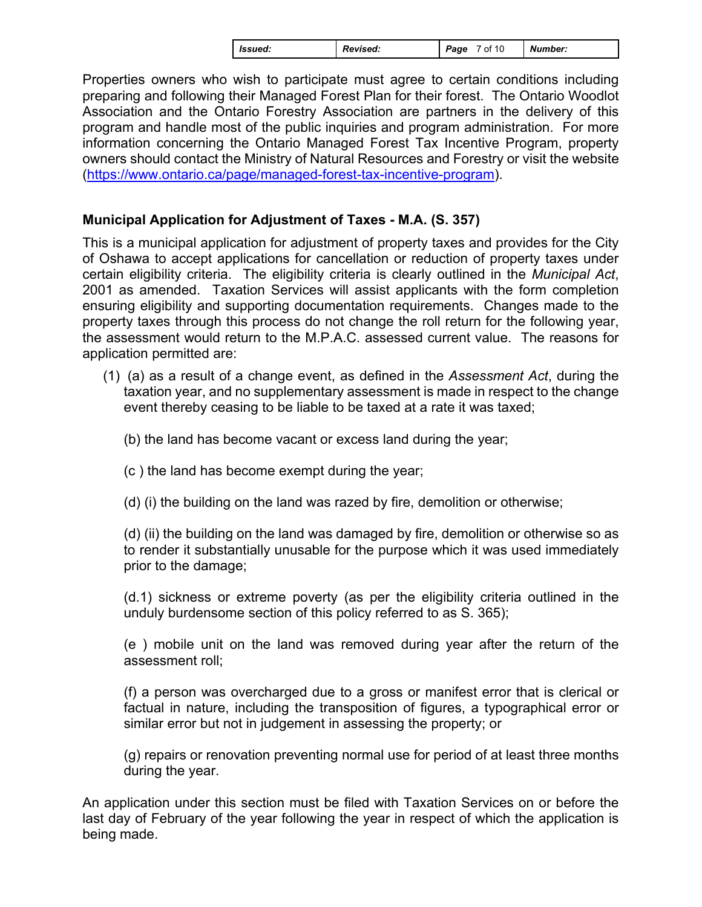| <i>Issued:</i> | <b>Revised:</b> | of 10<br>Page | Number: |
|----------------|-----------------|---------------|---------|
|----------------|-----------------|---------------|---------|

Properties owners who wish to participate must agree to certain conditions including preparing and following their Managed Forest Plan for their forest. The Ontario Woodlot Association and the Ontario Forestry Association are partners in the delivery of this program and handle most of the public inquiries and program administration. For more information concerning the Ontario Managed Forest Tax Incentive Program, property owners should contact the Ministry of Natural Resources and Forestry or visit the website (https://www.ontario.ca/page/managed-forest-tax-incentive-program).

## **Municipal Application for Adjustment of Taxes - M.A. (S. 357)**

This is a municipal application for adjustment of property taxes and provides for the City of Oshawa to accept applications for cancellation or reduction of property taxes under certain eligibility criteria. The eligibility criteria is clearly outlined in the *Municipal Act*, 2001 as amended. Taxation Services will assist applicants with the form completion ensuring eligibility and supporting documentation requirements. Changes made to the property taxes through this process do not change the roll return for the following year, the assessment would return to the M.P.A.C. assessed current value. The reasons for application permitted are:

- (1) (a) as a result of a change event, as defined in the *Assessment Act*, during the taxation year, and no supplementary assessment is made in respect to the change event thereby ceasing to be liable to be taxed at a rate it was taxed;
	- (b) the land has become vacant or excess land during the year;
	- (c ) the land has become exempt during the year;
	- (d) (i) the building on the land was razed by fire, demolition or otherwise;

(d) (ii) the building on the land was damaged by fire, demolition or otherwise so as to render it substantially unusable for the purpose which it was used immediately prior to the damage;

(d.1) sickness or extreme poverty (as per the eligibility criteria outlined in the unduly burdensome section of this policy referred to as S. 365);

(e ) mobile unit on the land was removed during year after the return of the assessment roll;

(f) a person was overcharged due to a gross or manifest error that is clerical or factual in nature, including the transposition of figures, a typographical error or similar error but not in judgement in assessing the property; or

(g) repairs or renovation preventing normal use for period of at least three months during the year.

An application under this section must be filed with Taxation Services on or before the last day of February of the year following the year in respect of which the application is being made.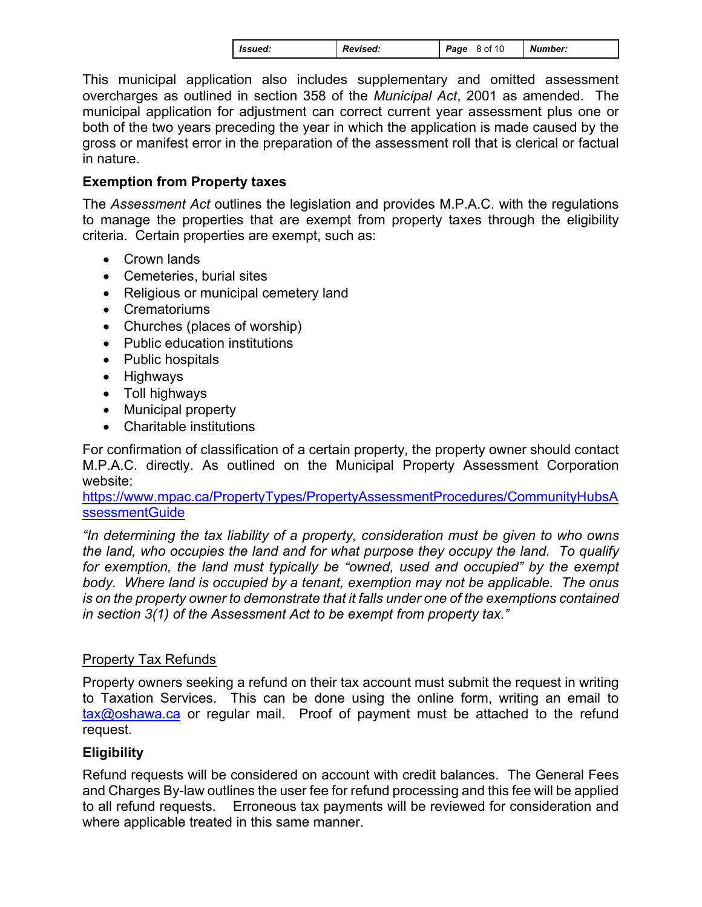| <b>Revised:</b><br><i>Issued:</i> | 8 of 10<br>Page | Number: |
|-----------------------------------|-----------------|---------|
|-----------------------------------|-----------------|---------|

This municipal application also includes supplementary and omitted assessment overcharges as outlined in section 358 of the *Municipal Act*, 2001 as amended. The municipal application for adjustment can correct current year assessment plus one or both of the two years preceding the year in which the application is made caused by the gross or manifest error in the preparation of the assessment roll that is clerical or factual in nature.

## **Exemption from Property taxes**

The *Assessment Act* outlines the legislation and provides M.P.A.C. with the regulations to manage the properties that are exempt from property taxes through the eligibility criteria. Certain properties are exempt, such as:

- Crown lands
- Cemeteries, burial sites
- Religious or municipal cemetery land
- Crematoriums
- Churches (places of worship)
- Public education institutions
- Public hospitals
- Highways
- Toll highways
- Municipal property
- Charitable institutions

For confirmation of classification of a certain property, the property owner should contact M.P.A.C. directly. As outlined on the Municipal Property Assessment Corporation website:

https://www.mpac.ca/PropertyTypes/PropertyAssessmentProcedures/CommunityHubsA [ssessmentGuide](https://www.mpac.ca/PropertyTypes/PropertyAssessmentProcedures/CommunityHubsAssessmentGuide)

*"In determining the tax liability of a property, consideration must be given to who owns the land, who occupies the land and for what purpose they occupy the land. To qualify*  for exemption, the land must typically be "owned, used and occupied" by the exempt *body. Where land is occupied by a tenant, exemption may not be applicable. The onus is on the property owner to demonstrate that it falls under one of the exemptions contained in section 3(1) of the Assessment Act to be exempt from property tax."* 

## **Property Tax Refunds**

Property owners seeking a refund on their tax account must submit the request in writing to Taxation Services. This can be done using the online form, writing an email to tax@oshawa.ca or regular mail. Proof of payment must be attached to the refund request.

# **Eligibility**

Refund requests will be considered on account with credit balances. The General Fees and Charges By-law outlines the user fee for refund processing and this fee will be applied to all refund requests. Erroneous tax payments will be reviewed for consideration and where applicable treated in this same manner.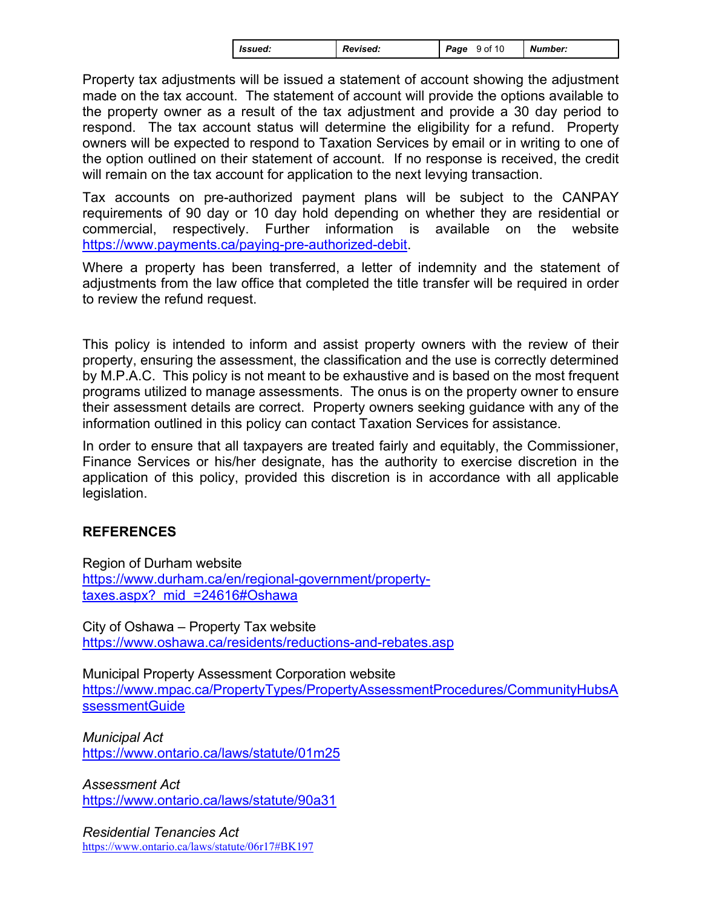| <b>Revised:</b><br><b>S</b> sued: | 9 of 10<br>Page | <b>Number:</b> |  |
|-----------------------------------|-----------------|----------------|--|
|-----------------------------------|-----------------|----------------|--|

Property tax adjustments will be issued a statement of account showing the adjustment made on the tax account. The statement of account will provide the options available to the property owner as a result of the tax adjustment and provide a 30 day period to respond. The tax account status will determine the eligibility for a refund. Property owners will be expected to respond to Taxation Services by email or in writing to one of the option outlined on their statement of account. If no response is received, the credit will remain on the tax account for application to the next levying transaction.

Tax accounts on pre-authorized payment plans will be subject to the CANPAY requirements of 90 day or 10 day hold depending on whether they are residential or commercial, respectively. Further information is available on the website https://www.payments.ca/paying-pre-authorized-debit.

Where a property has been transferred, a letter of indemnity and the statement of adjustments from the law office that completed the title transfer will be required in order to review the refund request.

This policy is intended to inform and assist property owners with the review of their property, ensuring the assessment, the classification and the use is correctly determined by M.P.A.C. This policy is not meant to be exhaustive and is based on the most frequent programs utilized to manage assessments. The onus is on the property owner to ensure their assessment details are correct. Property owners seeking guidance with any of the information outlined in this policy can contact Taxation Services for assistance.

In order to ensure that all taxpayers are treated fairly and equitably, the Commissioner, Finance Services or his/her designate, has the authority to exercise discretion in the application of this policy, provided this discretion is in accordance with all applicable legislation.

## **REFERENCES**

Region of Durham website https://www.durham.ca/en/regional-government/property [taxes.aspx? mid =24616#Oshawa](https://www.durham.ca/en/regional-government/property-taxes.aspx?mid=24616#Oshawa) 

City of Oshawa – Property Tax website https://www.oshawa.ca/residents/reductions-and-rebates.asp

Municipal Property Assessment Corporation website https://www.mpac.ca/PropertyTypes/PropertyAssessmentProcedures/CommunityHubsA [ssessmentGuide](https://www.mpac.ca/PropertyTypes/PropertyAssessmentProcedures/CommunityHubsAssessmentGuide) 

*Municipal Act*  https://www.ontario.ca/laws/statute/01m25

*Assessment Act*  https://www.ontario.ca/laws/statute/90a31

*Residential Tenancies Act*  https://www.ontario.ca/laws/statute/06r17#BK197